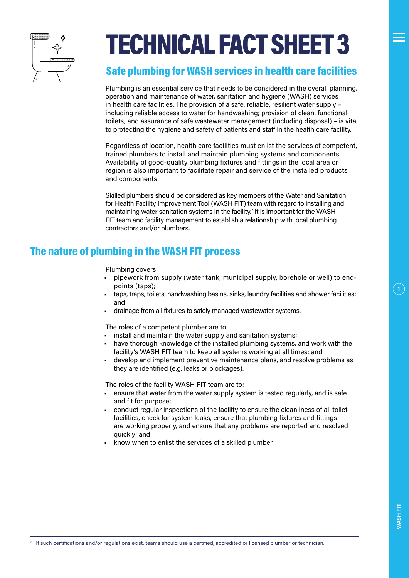

# TECHNICAL FACT SHEET 3

#### Safe plumbing for WASH services in health care facilities

Plumbing is an essential service that needs to be considered in the overall planning, operation and maintenance of water, sanitation and hygiene (WASH) services in health care facilities. The provision of a safe, reliable, resilient water supply – including reliable access to water for handwashing; provision of clean, functional toilets; and assurance of safe wastewater management (including disposal) – is vital to protecting the hygiene and safety of patients and staff in the health care facility.

Regardless of location, health care facilities must enlist the services of competent, trained plumbers to install and maintain plumbing systems and components. Availability of good-quality plumbing fixtures and fittings in the local area or region is also important to facilitate repair and service of the installed products and components.

Skilled plumbers should be considered as key members of the Water and Sanitation for Health Facility Improvement Tool (WASH FIT) team with regard to installing and maintaining water sanitation systems in the facility.<sup>7</sup> It is important for the WASH FIT team and facility management to establish a relationship with local plumbing contractors and/or plumbers.

## The nature of plumbing in the WASH FIT process

Plumbing covers:

- pipework from supply (water tank, municipal supply, borehole or well) to endpoints (taps);
- taps, traps, toilets, handwashing basins, sinks, laundry facilities and shower facilities; and
- drainage from all fixtures to safely managed wastewater systems.

The roles of a competent plumber are to:

- install and maintain the water supply and sanitation systems:
- have thorough knowledge of the installed plumbing systems, and work with the facility's WASH FIT team to keep all systems working at all times; and
- develop and implement preventive maintenance plans, and resolve problems as they are identified (e.g. leaks or blockages).

The roles of the facility WASH FIT team are to:

- ensure that water from the water supply system is tested regularly, and is safe and fit for purpose;
- conduct regular inspections of the facility to ensure the cleanliness of all toilet facilities, check for system leaks, ensure that plumbing fixtures and fittings are working properly, and ensure that any problems are reported and resolved quickly; and
- know when to enlist the services of a skilled plumber.

 $\left( \begin{matrix} 1 \end{matrix} \right)$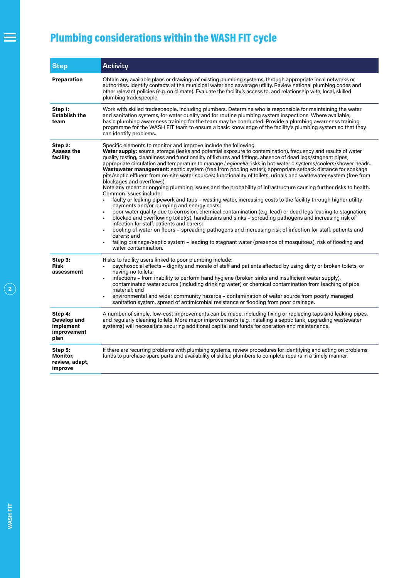## Plumbing considerations within the WASH FIT cycle

| <b>Step</b>                                                | <b>Activity</b>                                                                                                                                                                                                                                                                                                                                                                                                                                                                                                                                                                                                                                                                                                                                                                                                                                                                                                                                                                                                                                                                                                                                                                                                                                                                                                                                                                                                                                                                                                                       |
|------------------------------------------------------------|---------------------------------------------------------------------------------------------------------------------------------------------------------------------------------------------------------------------------------------------------------------------------------------------------------------------------------------------------------------------------------------------------------------------------------------------------------------------------------------------------------------------------------------------------------------------------------------------------------------------------------------------------------------------------------------------------------------------------------------------------------------------------------------------------------------------------------------------------------------------------------------------------------------------------------------------------------------------------------------------------------------------------------------------------------------------------------------------------------------------------------------------------------------------------------------------------------------------------------------------------------------------------------------------------------------------------------------------------------------------------------------------------------------------------------------------------------------------------------------------------------------------------------------|
| Preparation                                                | Obtain any available plans or drawings of existing plumbing systems, through appropriate local networks or<br>authorities. Identify contacts at the municipal water and sewerage utility. Review national plumbing codes and<br>other relevant policies (e.g. on climate). Evaluate the facility's access to, and relationship with, local, skilled<br>plumbing tradespeople.                                                                                                                                                                                                                                                                                                                                                                                                                                                                                                                                                                                                                                                                                                                                                                                                                                                                                                                                                                                                                                                                                                                                                         |
| Step 1:<br><b>Establish the</b><br>team                    | Work with skilled tradespeople, including plumbers. Determine who is responsible for maintaining the water<br>and sanitation systems, for water quality and for routine plumbing system inspections. Where available,<br>basic plumbing awareness training for the team may be conducted. Provide a plumbing awareness training<br>programme for the WASH FIT team to ensure a basic knowledge of the facility's plumbing system so that they<br>can identify problems.                                                                                                                                                                                                                                                                                                                                                                                                                                                                                                                                                                                                                                                                                                                                                                                                                                                                                                                                                                                                                                                               |
| Step 2:<br><b>Assess the</b><br>facility                   | Specific elements to monitor and improve include the following.<br>Water supply: source, storage (leaks and potential exposure to contamination), frequency and results of water<br>quality testing, cleanliness and functionality of fixtures and fittings, absence of dead legs/stagnant pipes,<br>appropriate circulation and temperature to manage Legionella risks in hot-water o systems/coolers/shower heads.<br>Wastewater management: septic system (free from pooling water); appropriate setback distance for soakage<br>pits/septic effluent from on-site water sources; functionality of toilets, urinals and wastewater system (free from<br>blockages and overflows).<br>Note any recent or ongoing plumbing issues and the probability of infrastructure causing further risks to health.<br>Common issues include:<br>faulty or leaking pipework and taps – wasting water, increasing costs to the facility through higher utility<br>payments and/or pumping and energy costs;<br>poor water quality due to corrosion, chemical contamination (e.g. lead) or dead legs leading to stagnation;<br>blocked and overflowing toilet(s), handbasins and sinks - spreading pathogens and increasing risk of<br>infection for staff, patients and carers;<br>pooling of water on floors - spreading pathogens and increasing risk of infection for staff, patients and<br>carers: and<br>failing drainage/septic system - leading to stagnant water (presence of mosquitoes), risk of flooding and<br>water contamination. |
| Step 3:<br><b>Risk</b><br>assessment                       | Risks to facility users linked to poor plumbing include:<br>psychosocial effects – dignity and morale of staff and patients affected by using dirty or broken toilets, or<br>having no toilets;<br>infections - from inability to perform hand hygiene (broken sinks and insufficient water supply),<br>contaminated water source (including drinking water) or chemical contamination from leaching of pipe<br>material: and<br>environmental and wider community hazards – contamination of water source from poorly managed<br>sanitation system, spread of antimicrobial resistance or flooding from poor drainage.                                                                                                                                                                                                                                                                                                                                                                                                                                                                                                                                                                                                                                                                                                                                                                                                                                                                                                               |
| Step 4:<br>Develop and<br>implement<br>improvement<br>plan | A number of simple, low-cost improvements can be made, including fixing or replacing taps and leaking pipes,<br>and regularly cleaning toilets. More major improvements (e.g. installing a septic tank, upgrading wastewater<br>systems) will necessitate securing additional capital and funds for operation and maintenance.                                                                                                                                                                                                                                                                                                                                                                                                                                                                                                                                                                                                                                                                                                                                                                                                                                                                                                                                                                                                                                                                                                                                                                                                        |
| Step 5:<br>Monitor,<br>review, adapt,<br>improve           | If there are recurring problems with plumbing systems, review procedures for identifying and acting on problems,<br>funds to purchase spare parts and availability of skilled plumbers to complete repairs in a timely manner.                                                                                                                                                                                                                                                                                                                                                                                                                                                                                                                                                                                                                                                                                                                                                                                                                                                                                                                                                                                                                                                                                                                                                                                                                                                                                                        |

Ξ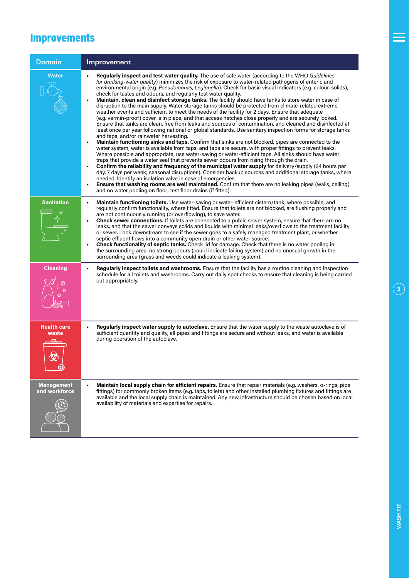## Improvements

| <b>Domain</b>                      | Improvement                                                                                                                                                                                                                                                                                                                                                                                                                                                                                                                                                                                                                                                                                                                                                                                                                                                                                                                                                                                                                                                                                                                                                                                                                                                                                                                                                                                                                                                                                                                                                                                                                                                                                                                                                                                                                                                                                                                                                                                    |
|------------------------------------|------------------------------------------------------------------------------------------------------------------------------------------------------------------------------------------------------------------------------------------------------------------------------------------------------------------------------------------------------------------------------------------------------------------------------------------------------------------------------------------------------------------------------------------------------------------------------------------------------------------------------------------------------------------------------------------------------------------------------------------------------------------------------------------------------------------------------------------------------------------------------------------------------------------------------------------------------------------------------------------------------------------------------------------------------------------------------------------------------------------------------------------------------------------------------------------------------------------------------------------------------------------------------------------------------------------------------------------------------------------------------------------------------------------------------------------------------------------------------------------------------------------------------------------------------------------------------------------------------------------------------------------------------------------------------------------------------------------------------------------------------------------------------------------------------------------------------------------------------------------------------------------------------------------------------------------------------------------------------------------------|
| Water                              | Regularly inspect and test water quality. The use of safe water (according to the WHO Guidelines<br>for drinking-water quality) minimizes the risk of exposure to water-related pathogens of enteric and<br>environmental origin (e.g. Pseudomonas, Legionella). Check for basic visual indicators (e.g. colour, solids),<br>check for tastes and odours, and regularly test water quality.<br>Maintain, clean and disinfect storage tanks. The facility should have tanks to store water in case of<br>disruption to the main supply. Water storage tanks should be protected from climate-related extreme<br>weather events and sufficient to meet the needs of the facility for 2 days. Ensure that adequate<br>(e.g. vermin-proof) cover is in place, and that access hatches close properly and are securely locked.<br>Ensure that tanks are clean, free from leaks and sources of contamination, and cleaned and disinfected at<br>least once per year following national or global standards. Use sanitary inspection forms for storage tanks<br>and taps, and/or rainwater harvesting.<br>Maintain functioning sinks and taps. Confirm that sinks are not blocked, pipes are connected to the<br>water system, water is available from taps, and taps are secure, with proper fittings to prevent leaks.<br>Where possible and appropriate, use water-saving or water-efficient taps. All sinks should have water<br>traps that provide a water seal that prevents sewer odours from rising through the drain.<br>Confirm the reliability and frequency of the municipal water supply for delivery/supply (24 hours per<br>day, 7 days per week; seasonal disruptions). Consider backup sources and additional storage tanks, where<br>needed. Identify an isolation valve in case of emergencies.<br><b>Ensure that washing rooms are well maintained.</b> Confirm that there are no leaking pipes (walls, ceiling)<br>and no water pooling on floor; test floor drains (if fitted). |
| <b>Sanitation</b>                  | Maintain functioning toilets. Use water-saving or water-efficient cistern/tank, where possible, and<br>regularly confirm functionality, where fitted. Ensure that toilets are not blocked, are flushing properly and<br>are not continuously running (or overflowing), to save water.<br>Check sewer connections. If toilets are connected to a public sewer system, ensure that there are no<br>leaks, and that the sewer conveys solids and liquids with minimal leaks/overflows to the treatment facility<br>or sewer. Look downstream to see if the sewer goes to a safely managed treatment plant, or whether<br>septic effluent flows into a community open drain or other water source.<br>Check functionality of septic tanks. Check lid for damage. Check that there is no water pooling in<br>the surrounding area, no strong odours (could indicate failing system) and no unusual growth in the<br>surrounding area (grass and weeds could indicate a leaking system).                                                                                                                                                                                                                                                                                                                                                                                                                                                                                                                                                                                                                                                                                                                                                                                                                                                                                                                                                                                                             |
| <b>Cleaning</b>                    | Regularly inspect toilets and washrooms. Ensure that the facility has a routine cleaning and inspection<br>schedule for all toilets and washrooms. Carry out daily spot checks to ensure that cleaning is being carried<br>out appropriately.                                                                                                                                                                                                                                                                                                                                                                                                                                                                                                                                                                                                                                                                                                                                                                                                                                                                                                                                                                                                                                                                                                                                                                                                                                                                                                                                                                                                                                                                                                                                                                                                                                                                                                                                                  |
| <b>Health care</b><br>waste        | Regularly inspect water supply to autoclave. Ensure that the water supply to the waste autoclave is of<br>sufficient quantity and quality, all pipes and fittings are secure and without leaks, and water is available<br>during operation of the autoclave.                                                                                                                                                                                                                                                                                                                                                                                                                                                                                                                                                                                                                                                                                                                                                                                                                                                                                                                                                                                                                                                                                                                                                                                                                                                                                                                                                                                                                                                                                                                                                                                                                                                                                                                                   |
| <b>Management</b><br>and workforce | Maintain local supply chain for efficient repairs. Ensure that repair materials (e.g. washers, o-rings, pipe<br>fittings) for commonly broken items (e.g. taps, toilets) and other installed plumbing fixtures and fittings are<br>available and the local supply chain is maintained. Any new infrastructure should be chosen based on local<br>availability of materials and expertise for repairs.                                                                                                                                                                                                                                                                                                                                                                                                                                                                                                                                                                                                                                                                                                                                                                                                                                                                                                                                                                                                                                                                                                                                                                                                                                                                                                                                                                                                                                                                                                                                                                                          |

 $\equiv$